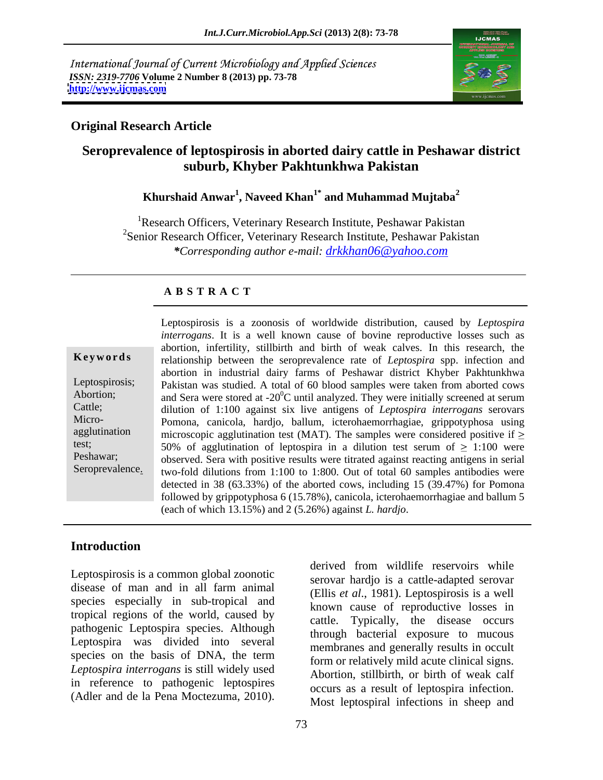International Journal of Current Microbiology and Applied Sciences *ISSN: 2319-7706* **Volume 2 Number 8 (2013) pp. 73-78 <http://www.ijcmas.com>**



### **Original Research Article**

# **Seroprevalence of leptospirosis in aborted dairy cattle in Peshawar district suburb, Khyber Pakhtunkhwa Pakistan**

### **Khurshaid Anwar<sup>1</sup> , Naveed Khan1\* and Muhammad Mujtaba<sup>2</sup>**

<sup>1</sup>Research Officers, Veterinary Research Institute, Peshawar Pakistan <sup>2</sup>Senior Research Officer, Veterinary Research Institute, Peshawar Pakistan *\*Corresponding author e-mail: drkkhan06@yahoo.com*

### **A B S T R A C T**

agglutination<br>
excess the anglutination of lettocal MAT). The samples were considered positive if  $\ge$ <br>
excit,<br>
exchange observed. Sera with positive results were triated against reacting antigens in serial<br>
Seroprevalenc **Keywords** relationship between the seroprevalence rate of *Leptospira* spp. infection and Leptospirosis; Pakistan was studied. A total of 60 blood samples were taken from aborted cows Abortion; and Sera were stored at  $-20^{\circ}$ C until analyzed. They were initially screened at serum Cattle; dilution of 1:100 against six live antigens of *Leptospira interrogans* serovars Micro- Pomona, canicola, hardjo, ballum, icterohaemorrhagiae, grippotyphosa using agglutination microscopic agglutination test (MAT). The samples were considered positive if  $\geq$ test;  $50\%$  of agglutination of leptospira in a dilution test serum of  $\geq 1:100$  were Peshawar; observed. Sera with positive results were titrated against reacting antigens in serial Leptospirosis is a zoonosis of worldwide distribution, caused by *Leptospira*<br>
interrogans. It is a well known cause of bovine reproductive losses such as<br>
abortion, infertility, stillbirth and birth of weak calves. In th *interrogans*. It is a well known cause of bovine reproductive losses such as abortion, infertility, stillbirth and birth of weak calves. In this research, the abortion in industrial dairy farms of Peshawar district Khyber Pakhtunkhwa two-fold dilutions from 1:100 to 1:800. Out of total 60 samples antibodies were detected in 38 (63.33%) of the aborted cows, including 15 (39.47%) for Pomona followed by grippotyphosa 6 (15.78%), canicola, icterohaemorrhagiae and ballum 5 (each of which 13.15%) and 2 (5.26%) against *L. hardjo*.

# **Introduction**

Leptospirosis is a common global zoonotic disease of man and in all farm animal  $\frac{\text{SLOVA}}{\text{Hilis at al. 1081}}$  Lentospinors is a well species especially in sub-tropical and tropical regions of the world, caused by pathogenic Leptospira species. Although Leptospira was divided into several species on the basis of DNA, the term *Leptospira interrogans* is still widely used in reference to pathogenic leptospires

derived from wildlife reservoirs while serovar hardjo is a cattle-adapted serovar (Ellis *et al*., 1981). Leptospirosis is a well known cause of reproductive losses in cattle. Typically, the disease occurs through bacterial exposure to mucous membranes and generally results in occult form or relatively mild acute clinical signs. Abortion, stillbirth, or birth of weak calf occurs as a result of leptospira infection. Most leptospiral infections in sheep and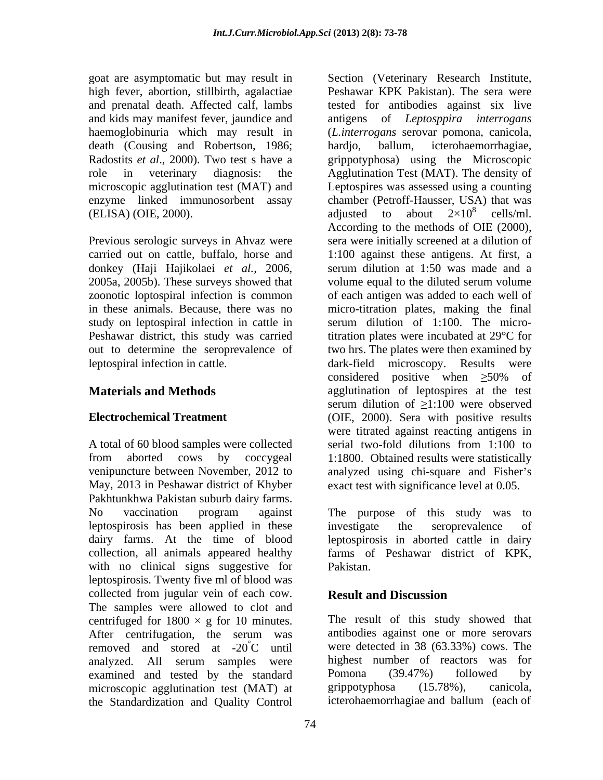high fever, abortion, stillbirth, agalactiae death (Cousing and Robertson, 1986; (ELISA) (OIE, 2000).  $\alpha$  adjusted to about  $2 \times 10^8$  cells/ml.

Pakhtunkhwa Pakistan suburb dairy farms. No vaccination program against The purpose of this study was to leptospirosis has been applied in these dairy farms. At the time of blood collection, all animals appeared healthy farms of Peshawar district of KPK, with no clinical signs suggestive for Pakistan. leptospirosis. Twenty five ml of blood was collected from jugular vein of each cow. **Result and Discussion** The samples were allowed to clot and centrifuged for  $1800 \times g$  for 10 minutes.<br>After centrifugation, the serum was analyzed. All serum samples were highest number of reactors was for examined and tested by the standard Pomona (39.47%) followed by examined and tested by the standard Pomona (39.47%) followed<br>microscopic agglutination test (MAT) at grippotyphosa (15.78%), ca microscopic agglutination test (MAT) at grippotyphosa (15.78%), canicola, the Standardization and Quality Control

goat are asymptomatic but may result in Section (Veterinary Research Institute, and prenatal death. Affected calf, lambs tested for antibodies against six live and kids may manifest fever, jaundice and antigens of *Leptosppira interrogans* haemoglobinuria which may result in (*L.interrogans* serovar pomona, canicola, Radostits *et al*., 2000). Two test s have a grippotyphosa) using the Microscopic role in veterinary diagnosis: the Agglutination Test (MAT). The density of microscopic agglutination test (MAT) and Leptospires was assessed using a counting enzyme linked immunosorbent assay chamber (Petroff-Hausser, USA) that was Previous serologic surveys in Ahvaz were sera were initially screened at a dilution of carried out on cattle, buffalo, horse and 1:100 against these antigens. At first, a donkey (Haji Hajikolaei *et al.,* 2006, serum dilution at 1:50 was made and a 2005a, 2005b). These surveys showed that volume equal to the diluted serum volume zoonotic loptospiral infection is common of each antigen was added to each well of in these animals. Because, there was no micro-titration plates, making the final study on leptospiral infection in cattle in serum dilution of 1:100. The micro-Peshawar district, this study was carried titration plates were incubated at 29<sup>o</sup>C for out to determine the seroprevalence of two hrs. The plates were then examined by leptospiral infection in cattle. dark-field microscopy. Results were **Materials and Methods agglutination** of leptospires at the test **Electrochemical Treatment** (OIE, 2000). Sera with positive results A total of 60 blood samples were collected serial two-fold dilutions from 1:100 to from aborted cows by coccygeal 1:1800. Obtained results were statistically venipuncture between November, 2012 to analyzed using chi-square and Fisher's May, 2013 in Peshawar district of Khyber exact test with significance level at 0.05. Peshawar KPK Pakistan). The sera were icterohaemorrhagiae, adjusted to about  $2\times10^8$  cells/ml.  $\frac{8}{\text{o}}$   $\frac{10}{\text{m}}$ cells/ml. According to the methods of OIE (2000), considered positive when  $\geq 50\%$  of serum dilution of  $\geq 1:100$  were observed were titrated against reacting antigens in serial two-fold dilutions from 1:100 to

> investigate the seroprevalence of leptospirosis in aborted cattle in dairy Pakistan.

### **Result and Discussion**

After centrifugation, the serum was antibodies against one or more serovars removed and stored at  $-20^{\circ}$ C until were detected in 38 (63.33%) cows. The The result of this study showed that antibodies against one or more serovars highest number of reactors was Pomona (39.47%) followed by grippotyphosa (15.78%), canicola, icterohaemorrhagiae and ballum (each of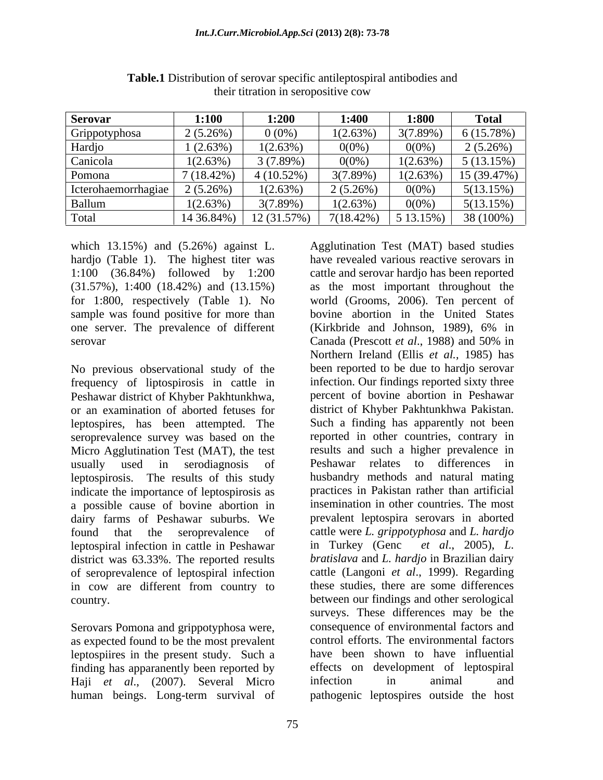| <b>Serovar</b>      | 1:100       | 1:200       | 1:40        | 1:800                  | <b>Total</b> |
|---------------------|-------------|-------------|-------------|------------------------|--------------|
| Grippotyphosa       | $2(5.26\%)$ | $0(0\%$     | 1(2.63%     | 3(7.89%)               | 6(15.78%)    |
| Hardjo              | $(2.63\%)$  | $1(2.63\%)$ | 0(0%        | 0(0%                   | $2(5.26\%)$  |
| Canicola            | 1(2.63%)    | 3 (7.89%)   | 0(0%        | $1(2.63\%)$            | 5(13.15%)    |
| Pomona              | $(18.42\%)$ | 4 (10.52%)  | 3(7.89%     | (2.63%                 | 15 (39.47%)  |
| Icterohaemorrhagiae | $2(5.26\%)$ | $1(2.63\%)$ | $2(5.26\%)$ | $0(0\%$                | 5(13.15%)    |
| Ballum              | $1(2.63\%)$ | $3(7.89\%)$ | $1(2.63\%)$ | 0(0%                   | 5(13.15%)    |
| Total               | 14 36.84%   | 12 (31.57%) | 7(18.42%    | $513.15\%)$<br>1.0.1.0 | 38 (100%)    |

**Table.1** Distribution of serovar specific antileptospiral antibodies and their titration in seropositive cow

which 13.15%) and (5.26%) against L. sample was found positive for more than one server. The prevalence of different (Kirkbride and Johnson, 1989), 6% in serovar Canada (Prescott *et al.*, 1988) and 50% in

No previous observational study of the frequency of liptospirosis in cattle in Peshawar district of Khyber Pakhtunkhwa, or an examination of aborted fetuses for seroprevalence survey was based on the Micro Agglutination Test (MAT), the test<br>
metally used in serodiagnosis of Peshawar relates to differences leptospirosis. The results of this study indicate the importance of leptospirosis as a possible cause of bovine abortion in dairy farms of Peshawar suburbs. We leptospiral infection in cattle in Peshawar in Turkey (Genc et al., 2005), L. district was 63.33%. The reported results of seroprevalence of leptospiral infection in cow are different from country to

Serovars Pomona and grippotyphosa were, as expected found to be the most prevalent leptospiires in the present study. Such a finding has apparanently been reported by Haji *et al*., (2007). Several Micro human beings. Long-term survival of pathogenic leptospires outside the host

hardjo (Table 1). The highest titer was have revealed various reactive serovars in 1:100 (36.84%) followed by 1:200 cattle and serovar hardjo has been reported (31.57%), 1:400 (18.42%) and (13.15%) as the most important throughout the for 1:800, respectively (Table 1). No world (Grooms, 2006). Ten percent of leptospires, has been attempted. The Such a finding has apparently not been usually used in serodiagnosis of Peshawar relates to differences in found that the seroprevalence of cattle were *L. grippotyphosa* and *L. hardjo* country. between our findings and other serological Agglutination Test (MAT) based studies bovine abortion in the United States (Kirkbride and Johnson, 1989), 6% in Canada (Prescott *et al*., 1988) and 50% in Northern Ireland (Ellis *et al.,* 1985) has been reported to be due to hardjo serovar infection. Our findings reported sixty three percent of bovine abortion in Peshawar district of Khyber Pakhtunkhwa Pakistan. reported in other countries, contrary in results and such a higher prevalence in Peshawar relates to differences in husbandry methods and natural mating practices in Pakistan rather than artificial insemination in other countries. The most prevalent leptospira serovars in aborted in Turkey (Genc *et al*., 2005), *L*. *bratislava* and *L. hardjo* in Brazilian dairy cattle (Langoni *et al*., 1999). Regarding these studies, there are some differences surveys. These differences may be the consequence of environmental factors and control efforts. The environmental factors have been shown to have influential effects on development of leptospiral infection in animal and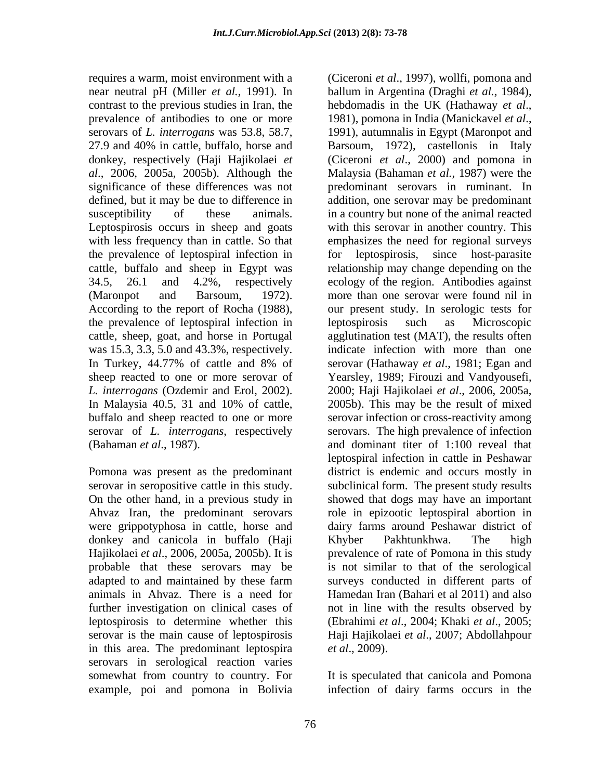requires a warm, moist environment with a (Ciceroni *et al*., 1997), wollfi, pomona and contrast to the previous studies in Iran, the behadded heads in the UK (Hathaway et al., prevalence of antibodies to one or more 1981), pomona in India (Manickavel et al., serovars of *L. interrogans* was 53.8, 58.7, with less frequency than in cattle. So that the prevalence of leptospiral infection in for leptospirosis, since host-parasite the prevalence of leptospiral infection in leptospirosis such as Microscopic was 15.3, 3.3, 5.0 and 43.3%, respectively.

were grippotyphosa in cattle, horse and donkey and canicola in buffalo (Haji Khyber Pakhtunkhwa. The high Hajikolaei *et al*., 2006, 2005a, 2005b). It is probable that these serovars may be in this area. The predominant leptospira *et al.*, 2009). serovars in serological reaction varies somewhat from country to country. For

near neutral pH (Miller *et al.,* 1991).In ballum in Argentina (Draghi *et al.,* 1984), 27.9 and 40% in cattle, buffalo, horse and Barsoum, 1972), castellonis in Italy donkey, respectively (Haji Hajikolaei *et*  (Ciceroni *et al*., 2000) and pomona in *al*., 2006, 2005a, 2005b). Although the Malaysia (Bahaman *et al.,* 1987) were the significance of these differences was not predominant serovars in ruminant. In defined, but it may be due to difference in addition, one serovar may be predominant susceptibility of these animals. in a country but none of the animal reacted Leptospirosis occurs in sheep and goats with this serovar in another country. This cattle, buffalo and sheep in Egypt was relationship may change depending on the 34.5, 26.1 and 4.2%, respectively ecology of the region. Antibodies against (Maronpot and Barsoum, 1972). more than one serovar were found nil in According to the report of Rocha (1988), our present study. In serologic tests for cattle, sheep, goat, and horse in Portugal agglutination test (MAT), the results often In Turkey, 44.77% of cattle and 8% of serovar (Hathaway *et al.*, 1981; Egan and sheep reacted to one or more serovar of Yearsley, 1989; Firouzi and Vandyousefi, *L. interrogans* (Ozdemir and Erol, 2002). 2000; Haji Hajikolaei *et al*., 2006, 2005a, In Malaysia 40.5, 31 and 10% of cattle, 2005b). This may be the result of mixed buffalo and sheep reacted to one or more serovar infection or cross-reactivity among serovar of *L. interrogans*, respectively serovars. The high prevalence of infection (Bahaman *et al*., 1987). and dominant titer of 1:100 reveal that Pomona was present as the predominant district is endemic and occurs mostly in serovar in seropositive cattle in this study. Subclinical form. The present study results On the other hand, in a previous study in showed that dogs may have an important Ahvaz Iran, the predominant serovars role in epizootic leptospiral abortion in adapted to and maintained by these farm surveys conducted in different parts of animals in Ahvaz. There is a need for Hamedan Iran (Bahari et al 2011) and also further investigation on clinical cases of not in line with the results observed by leptospirosis to determine whether this (Ebrahimi *et al*., 2004; Khaki *et al*., 2005; serovar is the main cause of leptospirosis Haji Hajikolaei *et al*., 2007; Abdollahpour hebdomadis in the UK (Hathaway *et al*., 1981), pomona in India (Manickavel *et al*., 1991), autumnalis in Egypt (Maronpot and emphasizes the need for regional surveys for leptospirosis, since host-parasite leptospirosis such as Microscopic indicate infection with more than one serovar (Hathaway *et al*., 1981; Egan and leptospiral infection in cattle in Peshawar dairy farms around Peshawar district of Khyber Pakhtunkhwa. The high prevalence of rate of Pomona in this study is not similar to that of the serological surveys conducted in different parts of *et al*., 2009).

example, poi and pomona in Bolivia infection of dairy farms occurs in the It is speculated that canicola and Pomona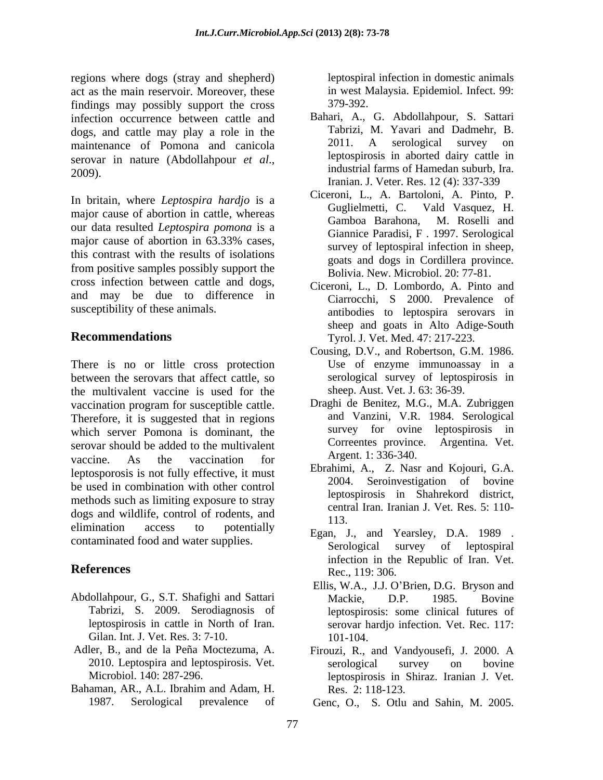regions where dogs (stray and shepherd) act as the main reservoir. Moreover, these findings may possibly support the cross infection occurrence between cattle and dogs, and cattle may play a role in the Tabrizi, M. Yavari and Dadmehr, B.<br>maintenance of Pomona and canicola 2011. A serological survey on maintenance of Pomona and canicola serovar in nature (Abdollahpour *et al.*,<br>2009).<br> $\frac{1}{2}$  industrial farms of Hamedan suburb, Ira.

In britain, where *Leptospira hardjo* is a<br> **Examplemential Constitution** C. Vald Vasquez, H. major cause of abortion in cattle, whereas Gamboa Barahona, M. Roselli and our data resulted *Leptospira pomona* is a major cause of abortion in  $63.33\%$  cases,  $\frac{63.33\%}{8.33\%}$  cases,  $\frac{63.33\%}{8.33\%}$  cases, this contrast with the results of isolations from positive samples possibly support the cross infection between cattle and dogs, and may be due to difference in

There is no or little cross protection between the serovars that affect cattle, so the multivalent vaccine is used for the vaccination program for susceptible cattle. Therefore, it is suggested that in regions which server Pomona is dominant, the serovar should be added to the multivalent vaccine. As the vaccination for  $\frac{\text{Argent.}}{\text{E}}$  1:  $\frac{336-340}{\text{E}}$ leptosporosis is not fully effective, it must<br> $\frac{1}{2004}$ be used in combination with other control methods such as limiting exposure to stray dogs and wildlife, control of rodents, and  $113$ . elimination access to potentially  $\frac{1}{2}$  and  $\frac{1}{2}$  and  $\frac{1}{2}$  and  $\frac{1}{2}$  and  $\frac{1}{2}$  and  $\frac{1}{2}$  and  $\frac{1}{2}$  and  $\frac{1}{2}$  and  $\frac{1}{2}$  and  $\frac{1}{2}$  and  $\frac{1}{2}$  and  $\frac{1}{2}$  and  $\frac{1}{2}$  and  $\frac{1$ 

- Abdollahpour, G., S.T. Shafighi and Sattari Gilan. Int. J. Vet. Res. 3: 7-10. 101-104.
- 
- Bahaman, AR., A.L. Ibrahim and Adam, H.

leptospiral infection in domestic animals in west Malaysia. Epidemiol. Infect. 99: 379-392.

- Bahari, A., G. Abdollahpour, S. Sattari Tabrizi, M. Yavari and Dadmehr, B. 2011. A serological survey on leptospirosis in aborted dairy cattle in industrial farms of Hamedan suburb, Ira. Iranian. J. Veter. Res. 12 (4): 337-339
- Ciceroni, L., A. Bartoloni, A. Pinto, P. Guglielmetti, C. Vald Vasquez, H. Gamboa Barahona, M. Roselli and Giannice Paradisi, F . 1997. Serological survey of leptospiral infection in sheep, goats and dogs in Cordillera province. Bolivia. New. Microbiol. 20: 77-81.
- susceptibility of these animals. The antibodies is antibodies to leptospira serovars in **Recommendations** Tyrol. J. Vet. Med. 47: 217-223. Ciceroni, L., D. Lombordo, A. Pinto and Ciarrocchi, S 2000. Prevalence of sheep and goats in Alto Adige-South
	- Cousing, D.V., and Robertson, G.M. 1986. Use of enzyme immunoassay in a serological survey of leptospirosis in sheep. Aust. Vet. J. 63: 36-39.
	- Draghi de Benitez, M.G., M.A. Zubriggen and Vanzini, V.R. 1984. Serological survey for ovine leptospirosis in Correentes province. Argentina. Vet. Argent. 1: 336-340.
	- Ebrahimi, A., Z. Nasr and Kojouri, G.A. Seroinvestigation of bovine leptospirosis in Shahrekord district, central Iran. Iranian J. Vet. Res. 5: 110- 113.
- contaminated food and water supplies.<br>Serological survey of leptospiral **References** Rec. 119: 306. Egan, J., and Yearsley, D.A. 1989 . Serological survey of leptospiral infection in the Republic of Iran. Vet. Rec., 119: 306.
	- Tabrizi, S. 2009. Serodiagnosis of leptospirosis: some clinical futures of leptospirosis in cattle in North of Iran. serovar hardjo infection. Vet. Rec. 117: Ellis, W.A., J.J. O'Brien, D.G. Bryson and Mackie, D.P. 1985. Bovine 101-104.
- Adler, B., and de la Peña Moctezuma, A. Firouzi, R., and Vandyousefi, J. 2000. A 2010. Leptospira and leptospirosis. Vet. serological survey on bovine Microbiol. 140: 287-296. leptospirosis in Shiraz. Iranian J. Vet. serological survey on bovine Res. 2: 118-123.
	- 1987. Serological prevalence of Genc, O., S. Otlu and Sahin, M. 2005.